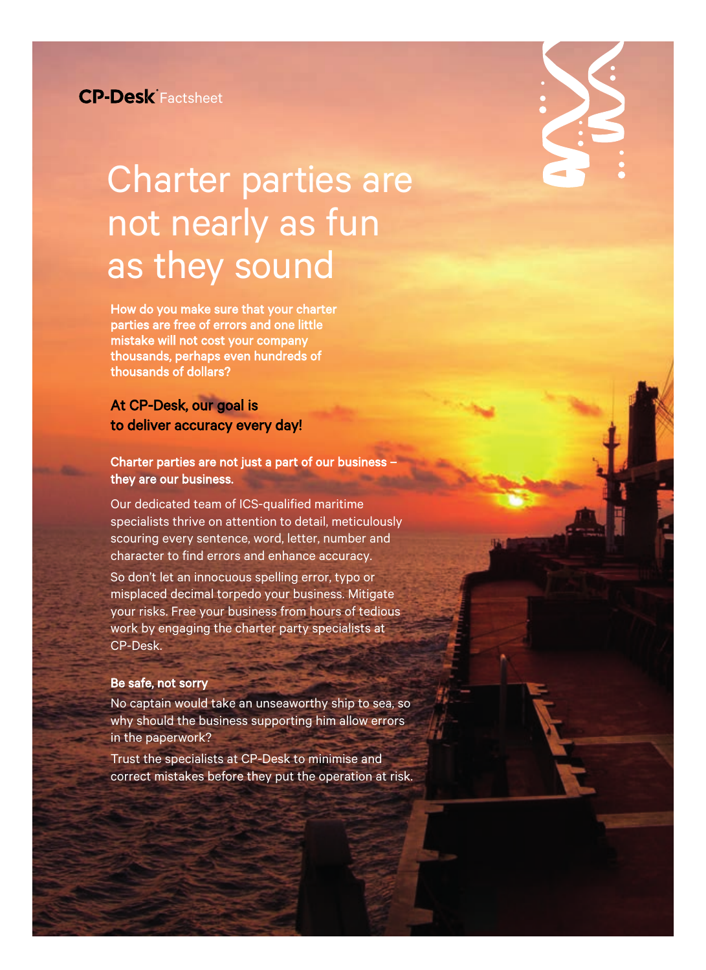# Charter parties are not nearly as fun as they sound

How do you make sure that your charter parties are free of errors and one little mistake will not cost your company thousands, perhaps even hundreds of thousands of dollars?

# At CP-Desk, our goal is to deliver accuracy every day!

## Charter parties are not just a part of our business – they are our business.

Our dedicated team of ICS-qualified maritime specialists thrive on attention to detail, meticulously scouring every sentence, word, letter, number and character to find errors and enhance accuracy.

So don't let an innocuous spelling error, typo or misplaced decimal torpedo your business. Mitigate your risks. Free your business from hours of tedious work by engaging the charter party specialists at CP-Desk.

## Be safe, not sorry

No captain would take an unseaworthy ship to sea, so why should the business supporting him allow errors in the paperwork?

Trust the specialists at CP-Desk to minimise and correct mistakes before they put the operation at risk.